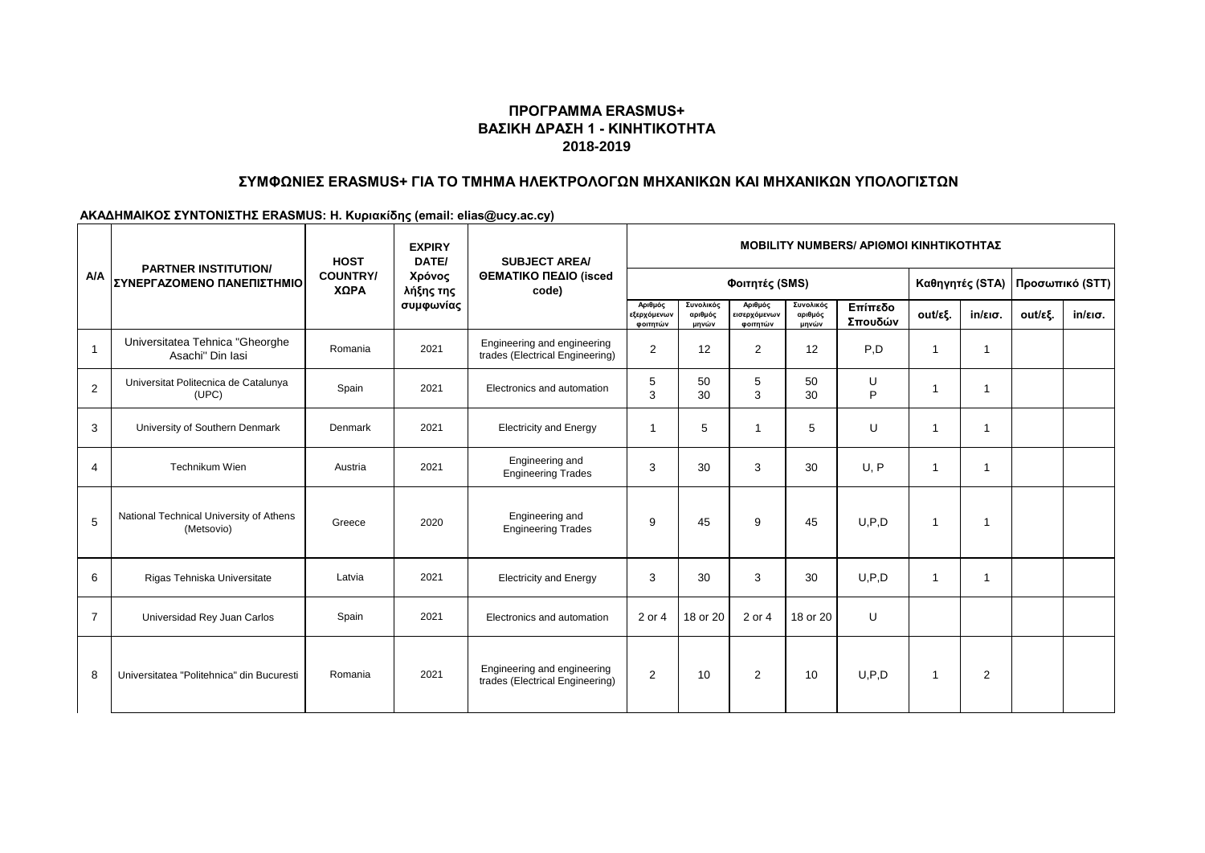# **ΣΥΜΦΩΝΙΕΣ ERASMUS+ ΓΙΑ ΤΟ ΤΜΗΜΑ ΗΛΕΚΤΡΟΛΟΓΩΝ ΜΗΧΑΝΙΚΩΝ ΚΑΙ ΜΗΧΑΝΙΚΩΝ ΥΠΟΛΟΓΙΣΤΩΝ**

|                |                                                           | <b>HOST</b>             | MOBILITY NUMBERS/ ΑΡΙΘΜΟΙ ΚΙΝΗΤΙΚΟΤΗΤΑΣ<br><b>EXPIRY</b><br>DATE/<br><b>SUBJECT AREA/</b> |                                                                |                                    |                               |                                     |                               |                    |                |                   |         |                   |
|----------------|-----------------------------------------------------------|-------------------------|-------------------------------------------------------------------------------------------|----------------------------------------------------------------|------------------------------------|-------------------------------|-------------------------------------|-------------------------------|--------------------|----------------|-------------------|---------|-------------------|
| <b>A/A</b>     | <b>PARTNER INSTITUTION/</b><br>ΣΥΝΕΡΓΑΖΟΜΕΝΟ ΠΑΝΕΠΙΣΤΗΜΙΟ | <b>COUNTRY/</b><br>ΧΩΡΑ | Χρόνος<br>λήξης της                                                                       | ΘΕΜΑΤΙΚΟ ΠΕΔΙΟ (isced<br>code)                                 |                                    |                               | Φοιτητές (SMS)                      |                               |                    |                | Καθηγητές (STA)   |         | Προσωπικό (STT)   |
|                |                                                           |                         | συμφωνίας                                                                                 |                                                                | Αριθμός<br>εξερχόμενων<br>φοιτητών | Συνολικός<br>αριθμός<br>μηνών | Αριθμός<br>εισερχόμενων<br>φοιτητών | Συνολικός<br>αριθμός<br>μηνών | Επίπεδο<br>Σπουδών | out/εξ.        | $in/\epsilon$ ισ. | out/εξ. | $in/\epsilon$ ισ. |
| $\overline{1}$ | Universitatea Tehnica "Gheorghe<br>Asachi" Din Iasi       | Romania                 | 2021                                                                                      | Engineering and engineering<br>trades (Electrical Engineering) | $\overline{2}$                     | 12                            | $\overline{2}$                      | 12                            | P <sub>.</sub> D   | -1             | $\mathbf 1$       |         |                   |
| 2              | Universitat Politecnica de Catalunya<br>(UPC)             | Spain                   | 2021                                                                                      | Electronics and automation                                     | 5<br>3                             | 50<br>30                      | 5<br>3                              | 50<br>30                      | U<br>P             |                | $\mathbf 1$       |         |                   |
| 3              | University of Southern Denmark                            | Denmark                 | 2021                                                                                      | <b>Electricity and Energy</b>                                  | $\mathbf 1$                        | 5                             |                                     | 5                             | U                  |                | $\mathbf 1$       |         |                   |
| 4              | Technikum Wien                                            | Austria                 | 2021                                                                                      | Engineering and<br><b>Engineering Trades</b>                   | 3                                  | 30                            | 3                                   | 30                            | U, P               | -1             | $\mathbf{1}$      |         |                   |
| 5              | National Technical University of Athens<br>(Metsovio)     | Greece                  | 2020                                                                                      | Engineering and<br><b>Engineering Trades</b>                   | 9                                  | 45                            | 9                                   | 45                            | U.P.D              |                | $\mathbf{1}$      |         |                   |
| 6              | Rigas Tehniska Universitate                               | Latvia                  | 2021                                                                                      | <b>Electricity and Energy</b>                                  | 3                                  | 30                            | 3                                   | 30                            | U.P.D              | -1             | $\mathbf{1}$      |         |                   |
| $\overline{7}$ | Universidad Rey Juan Carlos                               | Spain                   | 2021                                                                                      | Electronics and automation                                     | 2 or 4                             | 18 or 20                      | 2 or 4                              | 18 or 20                      | U                  |                |                   |         |                   |
| 8              | Universitatea "Politehnica" din Bucuresti                 | Romania                 | 2021                                                                                      | Engineering and engineering<br>trades (Electrical Engineering) | 2                                  | 10                            | $\overline{2}$                      | 10                            | U.P.D              | $\overline{1}$ | $\overline{2}$    |         |                   |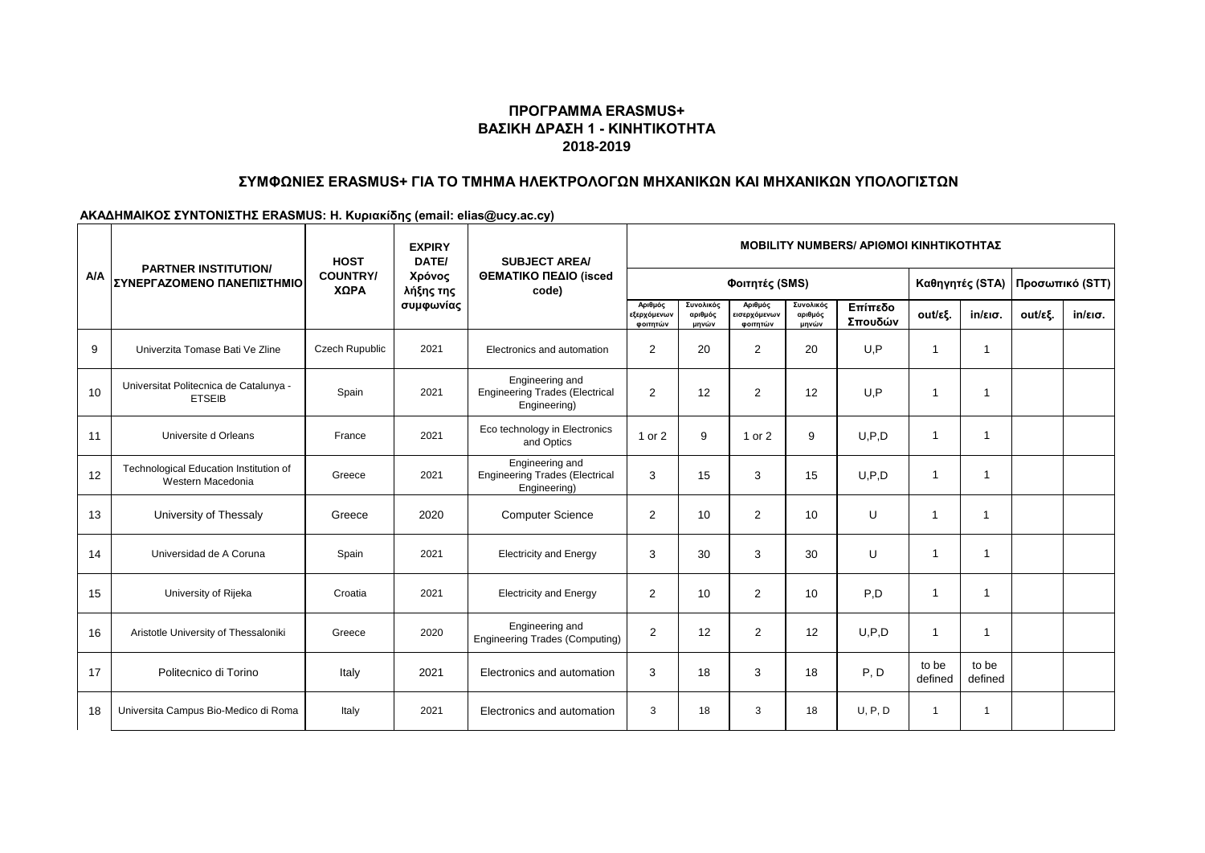# **ΣΥΜΦΩΝΙΕΣ ERASMUS+ ΓΙΑ ΤΟ ΤΜΗΜΑ ΗΛΕΚΤΡΟΛΟΓΩΝ ΜΗΧΑΝΙΚΩΝ ΚΑΙ ΜΗΧΑΝΙΚΩΝ ΥΠΟΛΟΓΙΣΤΩΝ**

|            |                                                             | <b>HOST</b>             | <b>EXPIRY</b><br>DATE/ | <b>MOBILITY NUMBERS/ APIOMOI KINHTIKOTHTAZ</b><br><b>SUBJECT AREA/</b>   |                                    |                               |                                     |                               |                    |                  |                   |         |                   |
|------------|-------------------------------------------------------------|-------------------------|------------------------|--------------------------------------------------------------------------|------------------------------------|-------------------------------|-------------------------------------|-------------------------------|--------------------|------------------|-------------------|---------|-------------------|
| <b>A/A</b> | <b>PARTNER INSTITUTION/</b><br>ΣΥΝΕΡΓΑΖΟΜΕΝΟ ΠΑΝΕΠΙΣΤΗΜΙΟ   | <b>COUNTRY/</b><br>ΧΩΡΑ | Χρόνος<br>λήξης της    | ΘΕΜΑΤΙΚΟ ΠΕΔΙΟ (isced<br>code)                                           |                                    |                               | Φοιτητές (SMS)                      |                               |                    | Καθηγητές (STA)  |                   |         | Προσωπικό (STT)   |
|            |                                                             |                         | συμφωνίας              |                                                                          | Αριθμός<br>εξερχόμενων<br>φοιτητών | Συνολικός<br>αριθμός<br>μηνών | Αριθμός<br>εισερχόμενων<br>φοιτητών | Συνολικός<br>αριθμός<br>μηνών | Επίπεδο<br>Σπουδών | out/εξ.          | $in/\epsilon$ ισ. | out/εξ. | $in/\epsilon$ ισ. |
| 9          | Univerzita Tomase Bati Ve Zline                             | <b>Czech Rupublic</b>   | 2021                   | Electronics and automation                                               | $\overline{2}$                     | 20                            | $\overline{2}$                      | 20                            | U.P                | -1               | 1                 |         |                   |
| 10         | Universitat Politecnica de Catalunya -<br><b>ETSEIB</b>     | Spain                   | 2021                   | Engineering and<br><b>Engineering Trades (Electrical</b><br>Engineering) | 2                                  | 12                            | $\overline{2}$                      | 12                            | U.P                | 1                | 1                 |         |                   |
| 11         | Universite d Orleans                                        | France                  | 2021                   | Eco technology in Electronics<br>and Optics                              | 1 or 2                             | 9                             | 1 or 2                              | 9                             | U.P.D              | -1               | 1                 |         |                   |
| 12         | Technological Education Institution of<br>Western Macedonia | Greece                  | 2021                   | Engineering and<br><b>Engineering Trades (Electrical</b><br>Engineering) | 3                                  | 15                            | 3                                   | 15                            | U, P, D            | $\overline{1}$   | 1                 |         |                   |
| 13         | University of Thessaly                                      | Greece                  | 2020                   | <b>Computer Science</b>                                                  | $\overline{2}$                     | 10                            | $\overline{2}$                      | 10                            | U                  | -1               |                   |         |                   |
| 14         | Universidad de A Coruna                                     | Spain                   | 2021                   | <b>Electricity and Energy</b>                                            | 3                                  | 30                            | 3                                   | 30                            | U                  | 1                | 1                 |         |                   |
| 15         | University of Rijeka                                        | Croatia                 | 2021                   | <b>Electricity and Energy</b>                                            | $\overline{2}$                     | 10                            | 2                                   | 10                            | P,D                | -1               | 1                 |         |                   |
| 16         | Aristotle University of Thessaloniki                        | Greece                  | 2020                   | Engineering and<br><b>Engineering Trades (Computing)</b>                 | $\overline{2}$                     | 12                            | 2                                   | 12                            | U, P, D            | -1               | 1                 |         |                   |
| 17         | Politecnico di Torino                                       | Italy                   | 2021                   | Electronics and automation                                               | 3                                  | 18                            | 3                                   | 18                            | P, D               | to be<br>defined | to be<br>defined  |         |                   |
| 18         | Universita Campus Bio-Medico di Roma                        | Italy                   | 2021                   | Electronics and automation                                               | 3                                  | 18                            | 3                                   | 18                            | U, P, D            | $\overline{1}$   | $\mathbf{1}$      |         |                   |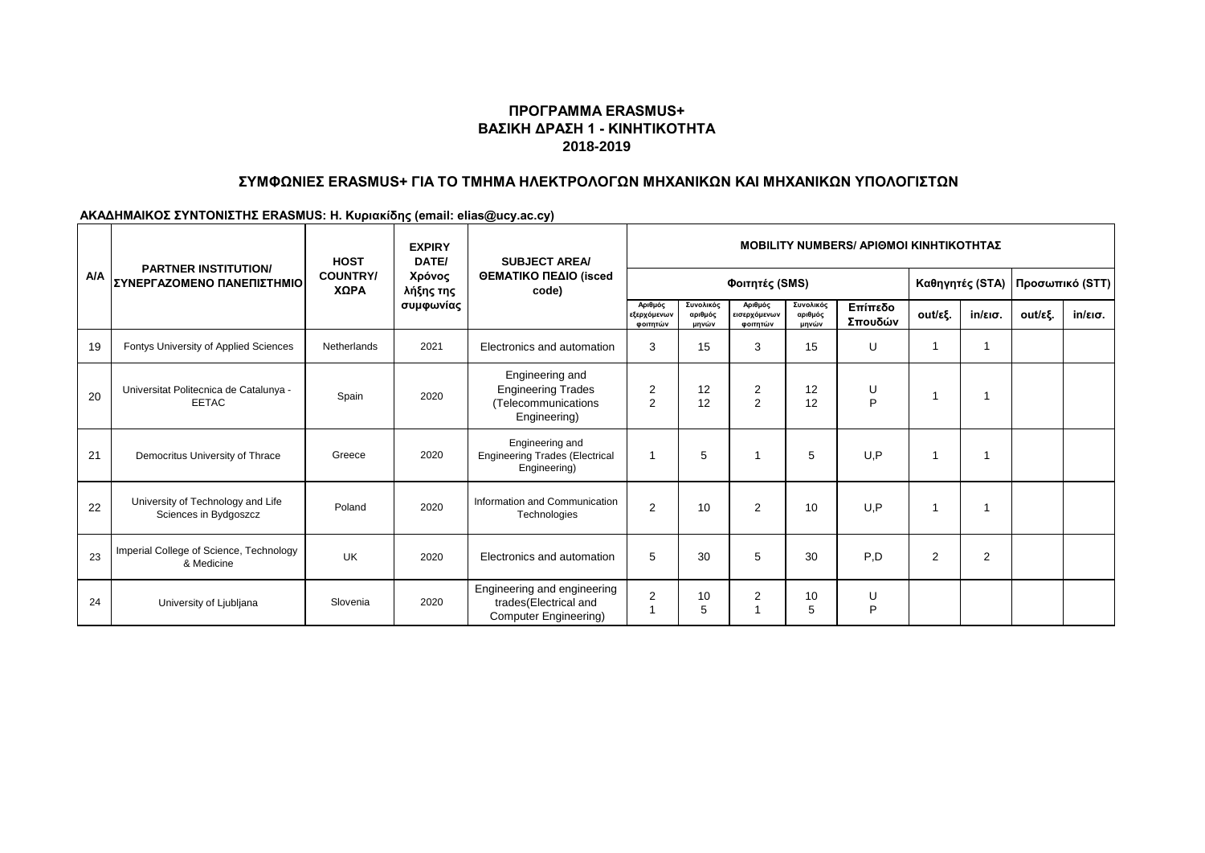# **ΣΥΜΦΩΝΙΕΣ ERASMUS+ ΓΙΑ ΤΟ ΤΜΗΜΑ ΗΛΕΚΤΡΟΛΟΓΩΝ ΜΗΧΑΝΙΚΩΝ ΚΑΙ ΜΗΧΑΝΙΚΩΝ ΥΠΟΛΟΓΙΣΤΩΝ**

|            | <b>HOST</b><br><b>PARTNER INSTITUTION/</b>                 |                         | <b>EXPIRY</b><br>DATE/           | <b>SUBJECT AREA/</b>                                                                | <b>MOBILITY NUMBERS/ APIOMOI KINHTIKOTHTAZ</b> |                               |                                     |                               |                    |                 |         |         |                   |  |
|------------|------------------------------------------------------------|-------------------------|----------------------------------|-------------------------------------------------------------------------------------|------------------------------------------------|-------------------------------|-------------------------------------|-------------------------------|--------------------|-----------------|---------|---------|-------------------|--|
| <b>A/A</b> | ΣΥΝΕΡΓΑΖΟΜΕΝΟ ΠΑΝΕΠΙΣΤΗΜΙΟ                                 | <b>COUNTRY/</b><br>ΧΩΡΑ | Χρόνος<br>λήξης της<br>συμφωνίας | ΘΕΜΑΤΙΚΟ ΠΕΔΙΟ (isced<br>code)                                                      |                                                | Φοιτητές (SMS)                |                                     |                               | Καθηγητές (STA)    | Προσωπικό (STT) |         |         |                   |  |
|            |                                                            |                         |                                  |                                                                                     | Αριθμός<br>εξερχόμενων<br>φοιτητών             | Συνολικός<br>αριθμός<br>μηνών | Αριθμός<br>εισερχόμενων<br>φοιτητών | Συνολικός<br>αριθμός<br>μηνών | Επίπεδο<br>Σπουδών | out/εξ.         | in/εισ. | out/εξ. | $in/\epsilon$ ισ. |  |
| 19         | Fontys University of Applied Sciences                      | Netherlands             | 2021                             | Electronics and automation                                                          | 3                                              | 15                            | 3                                   | 15                            | U                  |                 |         |         |                   |  |
| 20         | Universitat Politecnica de Catalunya -<br><b>EETAC</b>     | Spain                   | 2020                             | Engineering and<br><b>Engineering Trades</b><br>(Telecommunications<br>Engineering) | $\overline{2}$<br>2                            | 12<br>12                      | 2<br>$\overline{2}$                 | 12<br>12                      | U<br>P             | 1               |         |         |                   |  |
| 21         | Democritus University of Thrace                            | Greece                  | 2020                             | Engineering and<br><b>Engineering Trades (Electrical</b><br>Engineering)            |                                                | 5                             |                                     | 5                             | U.P                | 1               |         |         |                   |  |
| 22         | University of Technology and Life<br>Sciences in Bydgoszcz | Poland                  | 2020                             | Information and Communication<br>Technologies                                       | 2                                              | 10                            | $\overline{2}$                      | 10                            | U.P                | -1              |         |         |                   |  |
| 23         | Imperial College of Science, Technology<br>& Medicine      | <b>UK</b>               | 2020                             | Electronics and automation                                                          | 5                                              | 30                            | 5                                   | 30                            | P,D                | $\overline{2}$  | 2       |         |                   |  |
| 24         | University of Ljubljana                                    | Slovenia                | 2020                             | Engineering and engineering<br>trades(Electrical and<br>Computer Engineering)       | $\overline{2}$                                 | 10<br>5                       | $\overline{2}$                      | 10<br>5                       | U<br>P             |                 |         |         |                   |  |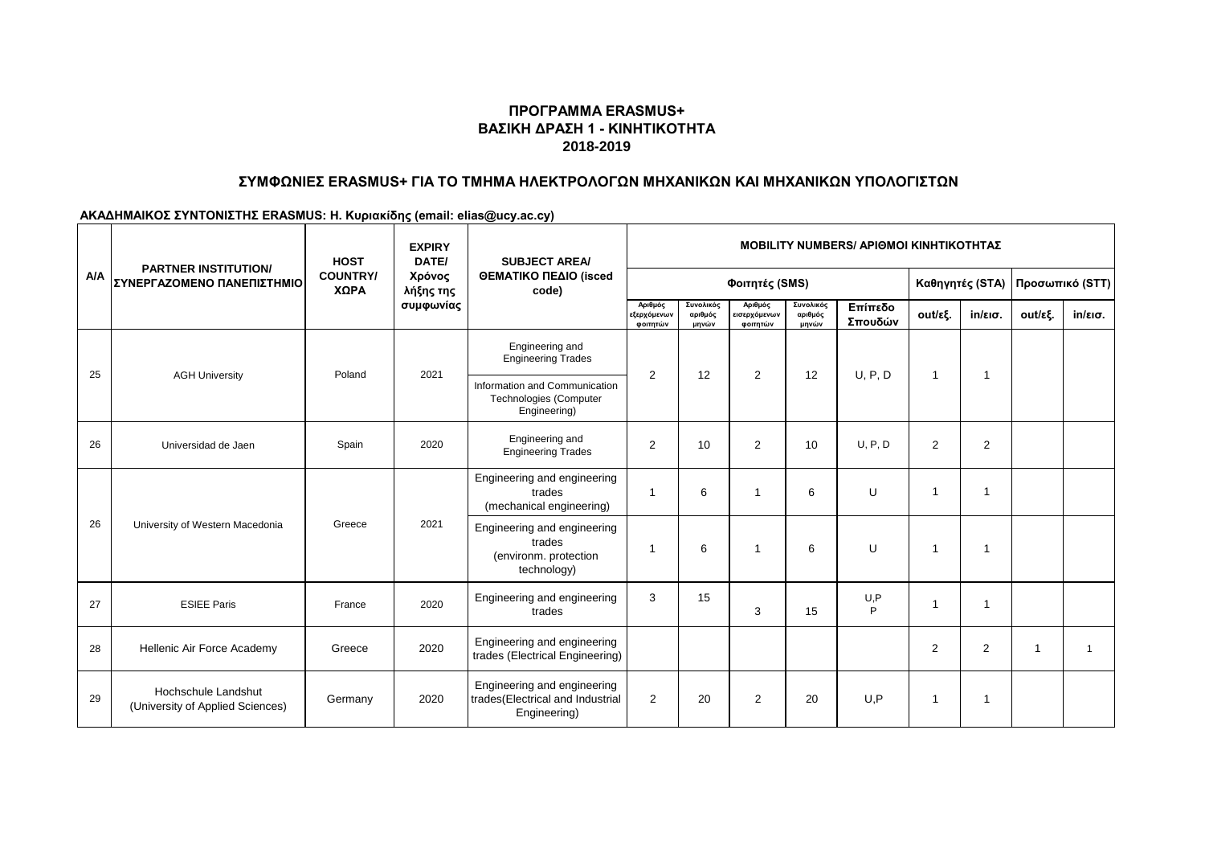#### **ΣΥΜΦΩΝΙΕΣ ERASMUS+ ΓΙΑ ΤΟ ΤΜΗΜΑ ΗΛΕΚΤΡΟΛΟΓΩΝ ΜΗΧΑΝΙΚΩΝ ΚΑΙ ΜΗΧΑΝΙΚΩΝ ΥΠΟΛΟΓΙΣΤΩΝ**

|            | <b>HOST</b><br><b>PARTNER INSTITUTION/</b>              |                         | <b>EXPIRY</b><br>DATE/           | <b>SUBJECT AREA/</b>                                                            |                                    | <b>MOBILITY NUMBERS/ APIOMOI KINHTIKOTHTAZ</b> |                                     |                               |                    |                |                 |                 |                   |  |  |
|------------|---------------------------------------------------------|-------------------------|----------------------------------|---------------------------------------------------------------------------------|------------------------------------|------------------------------------------------|-------------------------------------|-------------------------------|--------------------|----------------|-----------------|-----------------|-------------------|--|--|
| <b>A/A</b> | ΣΥΝΕΡΓΑΖΟΜΕΝΟ ΠΑΝΕΠΙΣΤΗΜΙΟ                              | <b>COUNTRY/</b><br>ΧΩΡΑ | Χρόνος<br>λήξης της<br>συμφωνίας | ΘΕΜΑΤΙΚΟ ΠΕΔΙΟ (isced<br>code)                                                  |                                    |                                                | Φοιτητές (SMS)                      |                               |                    |                | Καθηγητές (STA) | Προσωπικό (STT) |                   |  |  |
|            |                                                         |                         |                                  |                                                                                 | Αριθμός<br>εξερχόμενων<br>φοιτητών | Συνολικός<br>αριθμός<br>μηνών                  | Αριθμός<br>εισερχόμενων<br>φοιτητών | Συνολικός<br>αριθμός<br>μηνών | Επίπεδο<br>Σπουδών | out/εξ.        | in/εισ.         | out/εξ.         | $in/\epsilon$ ισ. |  |  |
| 25         | <b>AGH University</b>                                   | Poland                  | 2021                             | Engineering and<br><b>Engineering Trades</b>                                    | $\overline{2}$                     | 12                                             |                                     | 2<br>12                       | U, P, D            | -1             | 1               |                 |                   |  |  |
|            |                                                         |                         |                                  | Information and Communication<br>Technologies (Computer<br>Engineering)         |                                    |                                                |                                     |                               |                    |                |                 |                 |                   |  |  |
| 26         | Universidad de Jaen                                     | Spain                   | 2020                             | Engineering and<br><b>Engineering Trades</b>                                    | $\overline{2}$                     | 10                                             | 2                                   | 10                            | U, P, D            | 2              | 2               |                 |                   |  |  |
|            | University of Western Macedonia                         | Greece                  | 2021                             | Engineering and engineering<br>trades<br>(mechanical engineering)               | $\mathbf 1$                        | 6                                              |                                     | 6                             | U                  | -1             | 1               |                 |                   |  |  |
| 26         |                                                         |                         |                                  | Engineering and engineering<br>trades<br>(environm. protection<br>technology)   | -1                                 | 6                                              | 1                                   | 6                             | U                  | -1             | $\mathbf 1$     |                 |                   |  |  |
| 27         | <b>ESIEE Paris</b>                                      | France                  | 2020                             | Engineering and engineering<br>trades                                           | 3                                  | 15                                             | 3                                   | 15                            | U, P<br>P          | 1              | 1               |                 |                   |  |  |
| 28         | Hellenic Air Force Academy                              | Greece                  | 2020                             | Engineering and engineering<br>trades (Electrical Engineering)                  |                                    |                                                |                                     |                               |                    | $\overline{2}$ | 2               |                 |                   |  |  |
| 29         | Hochschule Landshut<br>(University of Applied Sciences) | Germany                 | 2020                             | Engineering and engineering<br>trades(Electrical and Industrial<br>Engineering) | 2                                  | 20                                             | $\overline{2}$                      | 20                            | U.P                | -1             | 1               |                 |                   |  |  |